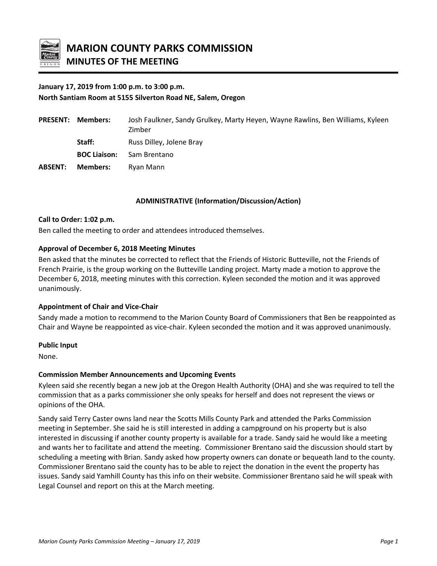

# **January 17, 2019 from 1:00 p.m. to 3:00 p.m. North Santiam Room at 5155 Silverton Road NE, Salem, Oregon**

| <b>PRESENT:</b> | Members:            | Josh Faulkner, Sandy Grulkey, Marty Heyen, Wayne Rawlins, Ben Williams, Kyleen<br>Zimber |
|-----------------|---------------------|------------------------------------------------------------------------------------------|
|                 | Staff:              | Russ Dilley, Jolene Bray                                                                 |
|                 | <b>BOC Liaison:</b> | Sam Brentano                                                                             |
| <b>ABSENT:</b>  | <b>Members:</b>     | Ryan Mann                                                                                |

#### **ADMINISTRATIVE (Information/Discussion/Action)**

#### **Call to Order: 1:02 p.m.**

Ben called the meeting to order and attendees introduced themselves.

#### **Approval of December 6, 2018 Meeting Minutes**

Ben asked that the minutes be corrected to reflect that the Friends of Historic Butteville, not the Friends of French Prairie, is the group working on the Butteville Landing project. Marty made a motion to approve the December 6, 2018, meeting minutes with this correction. Kyleen seconded the motion and it was approved unanimously.

#### **Appointment of Chair and Vice-Chair**

Sandy made a motion to recommend to the Marion County Board of Commissioners that Ben be reappointed as Chair and Wayne be reappointed as vice-chair. Kyleen seconded the motion and it was approved unanimously.

#### **Public Input**

None.

#### **Commission Member Announcements and Upcoming Events**

Kyleen said she recently began a new job at the Oregon Health Authority (OHA) and she was required to tell the commission that as a parks commissioner she only speaks for herself and does not represent the views or opinions of the OHA.

Sandy said Terry Caster owns land near the Scotts Mills County Park and attended the Parks Commission meeting in September. She said he is still interested in adding a campground on his property but is also interested in discussing if another county property is available for a trade. Sandy said he would like a meeting and wants her to facilitate and attend the meeting. Commissioner Brentano said the discussion should start by scheduling a meeting with Brian. Sandy asked how property owners can donate or bequeath land to the county. Commissioner Brentano said the county has to be able to reject the donation in the event the property has issues. Sandy said Yamhill County has this info on their website. Commissioner Brentano said he will speak with Legal Counsel and report on this at the March meeting.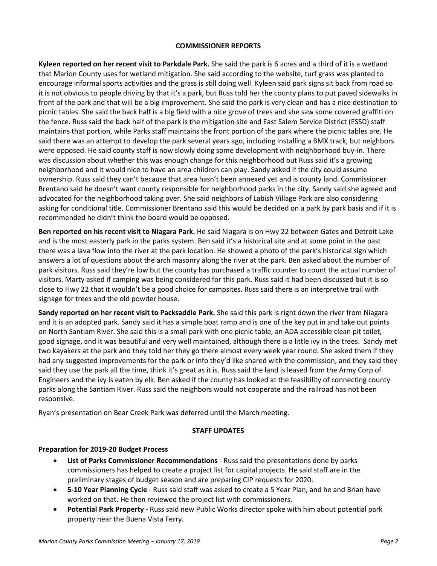#### **COMMISSIONER REPORTS**

**Kyleen reported on her recent visit to Parkdale Park.** She said the park is 6 acres and a third of it is a wetland that Marion County uses for wetland mitigation. She said according to the website, turf grass was planted to encourage informal sports activities and the grass is still doing well. Kyleen said park signs sit back from road so it is not obvious to people driving by that it's a park, but Russ told her the county plans to put paved sidewalks in front of the park and that will be a big improvement. She said the park is very clean and has a nice destination to picnic tables. She said the back half is a big field with a nice grove of trees and she saw some covered graffiti on the fence. Russ said the back half of the park is the mitigation site and East Salem Service District (ESSD) staff maintains that portion, while Parks staff maintains the front portion of the park where the picnic tables are. He said there was an attempt to develop the park several years ago, including installing a BMX track, but neighbors were opposed. He said county staff is now slowly doing some development with neighborhood buy-in. There was discussion about whether this was enough change for this neighborhood but Russ said it's a growing neighborhood and it would nice to have an area children can play. Sandy asked if the city could assume ownership. Russ said they can't because that area hasn't been annexed yet and is county land. Commissioner Brentano said he doesn't want county responsible for neighborhood parks in the city. Sandy said she agreed and advocated for the neighborhood taking over. She said neighbors of Labish Village Park are also considering asking for conditional title. Commissioner Brentano said this would be decided on a park by park basis and if it is recommended he didn't think the board would be opposed.

**Ben reported on his recent visit to Niagara Park.** He said Niagara is on Hwy 22 between Gates and Detroit Lake and is the most easterly park in the parks system. Ben said it's a historical site and at some point in the past there was a lava flow into the river at the park location. He showed a photo of the park's historical sign which answers a lot of questions about the arch masonry along the river at the park. Ben asked about the number of park visitors. Russ said they're low but the county has purchased a traffic counter to count the actual number of visitors. Marty asked if camping was being considered for this park. Russ said it had been discussed but it is so close to Hwy 22 that it wouldn't be a good choice for campsites. Russ said there is an interpretive trail with signage for trees and the old powder house.

**Sandy reported on her recent visit to Packsaddle Park.** She said this park is right down the river from Niagara and it is an adopted park. Sandy said it has a simple boat ramp and is one of the key put in and take out points on North Santiam River. She said this is a small park with one picnic table, an ADA accessible clean pit toilet, good signage, and it was beautiful and very well maintained, although there is a little ivy in the trees. Sandy met two kayakers at the park and they told her they go there almost every week year round. She asked them if they had any suggested improvements for the park or info they'd like shared with the commission, and they said they said they use the park all the time, think it's great as it is. Russ said the land is leased from the Army Corp of Engineers and the ivy is eaten by elk. Ben asked if the county has looked at the feasibility of connecting county parks along the Santiam River. Russ said the neighbors would not cooperate and the railroad has not been responsive.

Ryan's presentation on Bear Creek Park was deferred until the March meeting.

#### **STAFF UPDATES**

#### **Preparation for 2019-20 Budget Process**

- **List of Parks Commissioner Recommendations**  Russ said the presentations done by parks commissioners has helped to create a project list for capital projects. He said staff are in the preliminary stages of budget season and are preparing CIP requests for 2020.
- **5-10 Year Planning Cycle** Russ said staff was asked to create a 5 Year Plan, and he and Brian have worked on that. He then reviewed the project list with commissioners.
- **Potential Park Property**  Russ said new Public Works director spoke with him about potential park property near the Buena Vista Ferry.